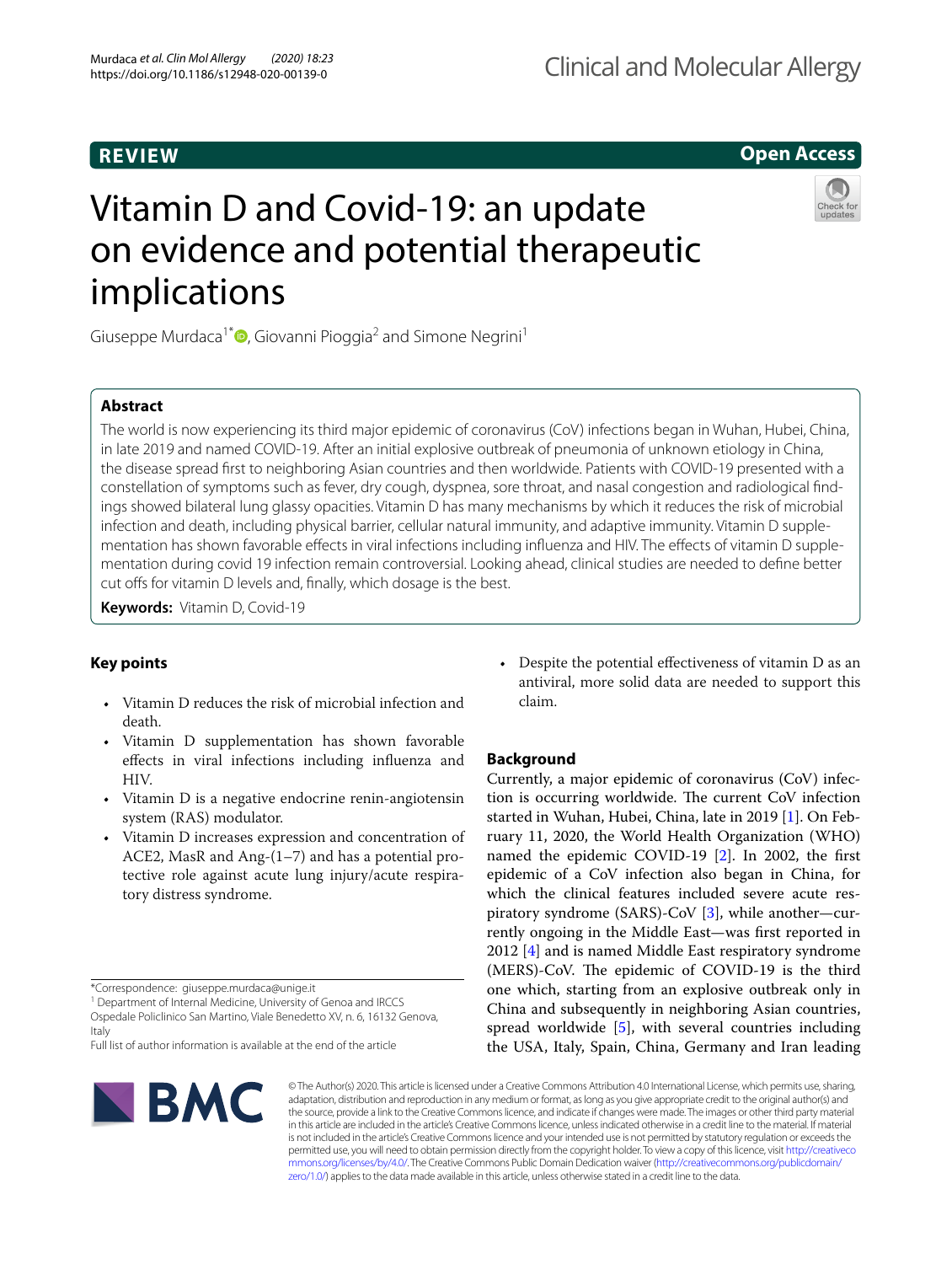implications

## **REVIEW**

# **Open Access**

# Vitamin D and Covid-19: an update on evidence and potential therapeutic



Giuseppe Murdaca<sup>1\*</sup><sup>®</sup>[,](http://orcid.org/0000-0002-6403-6905) Giovanni Pioggia<sup>2</sup> and Simone Negrini<sup>1</sup>

## **Abstract**

The world is now experiencing its third major epidemic of coronavirus (CoV) infections began in Wuhan, Hubei, China, in late 2019 and named COVID-19. After an initial explosive outbreak of pneumonia of unknown etiology in China, the disease spread frst to neighboring Asian countries and then worldwide. Patients with COVID-19 presented with a constellation of symptoms such as fever, dry cough, dyspnea, sore throat, and nasal congestion and radiological fndings showed bilateral lung glassy opacities. Vitamin D has many mechanisms by which it reduces the risk of microbial infection and death, including physical barrier, cellular natural immunity, and adaptive immunity. Vitamin D supplementation has shown favorable efects in viral infections including infuenza and HIV. The efects of vitamin D supplementation during covid 19 infection remain controversial. Looking ahead, clinical studies are needed to defne better cut offs for vitamin D levels and, finally, which dosage is the best.

**Keywords:** Vitamin D, Covid-19

## **Key points**

- Vitamin D reduces the risk of microbial infection and death.
- Vitamin D supplementation has shown favorable efects in viral infections including infuenza and HIV.
- Vitamin D is a negative endocrine renin-angiotensin system (RAS) modulator.
- Vitamin D increases expression and concentration of ACE2, MasR and Ang-(1–7) and has a potential protective role against acute lung injury/acute respiratory distress syndrome.

<sup>1</sup> Department of Internal Medicine, University of Genoa and IRCCS Ospedale Policlinico San Martino, Viale Benedetto XV, n. 6, 16132 Genova, Italy

Full list of author information is available at the end of the article



• Despite the potential efectiveness of vitamin D as an antiviral, more solid data are needed to support this claim.

## **Background**

Currently, a major epidemic of coronavirus (CoV) infection is occurring worldwide. The current CoV infection started in Wuhan, Hubei, China, late in 2019 [\[1](#page-5-0)]. On February 11, 2020, the World Health Organization (WHO) named the epidemic COVID-19 [\[2\]](#page-5-1). In 2002, the frst epidemic of a CoV infection also began in China, for which the clinical features included severe acute respiratory syndrome (SARS)-CoV [\[3](#page-5-2)], while another—currently ongoing in the Middle East—was frst reported in 2012 [\[4](#page-5-3)] and is named Middle East respiratory syndrome (MERS)-CoV. The epidemic of COVID-19 is the third one which, starting from an explosive outbreak only in China and subsequently in neighboring Asian countries, spread worldwide [[5\]](#page-5-4), with several countries including the USA, Italy, Spain, China, Germany and Iran leading

© The Author(s) 2020. This article is licensed under a Creative Commons Attribution 4.0 International License, which permits use, sharing, adaptation, distribution and reproduction in any medium or format, as long as you give appropriate credit to the original author(s) and the source, provide a link to the Creative Commons licence, and indicate if changes were made. The images or other third party material in this article are included in the article's Creative Commons licence, unless indicated otherwise in a credit line to the material. If material is not included in the article's Creative Commons licence and your intended use is not permitted by statutory regulation or exceeds the permitted use, you will need to obtain permission directly from the copyright holder. To view a copy of this licence, visit [http://creativeco](http://creativecommons.org/licenses/by/4.0/) [mmons.org/licenses/by/4.0/.](http://creativecommons.org/licenses/by/4.0/) The Creative Commons Public Domain Dedication waiver ([http://creativecommons.org/publicdomain/](http://creativecommons.org/publicdomain/zero/1.0/) [zero/1.0/\)](http://creativecommons.org/publicdomain/zero/1.0/) applies to the data made available in this article, unless otherwise stated in a credit line to the data.

<sup>\*</sup>Correspondence: giuseppe.murdaca@unige.it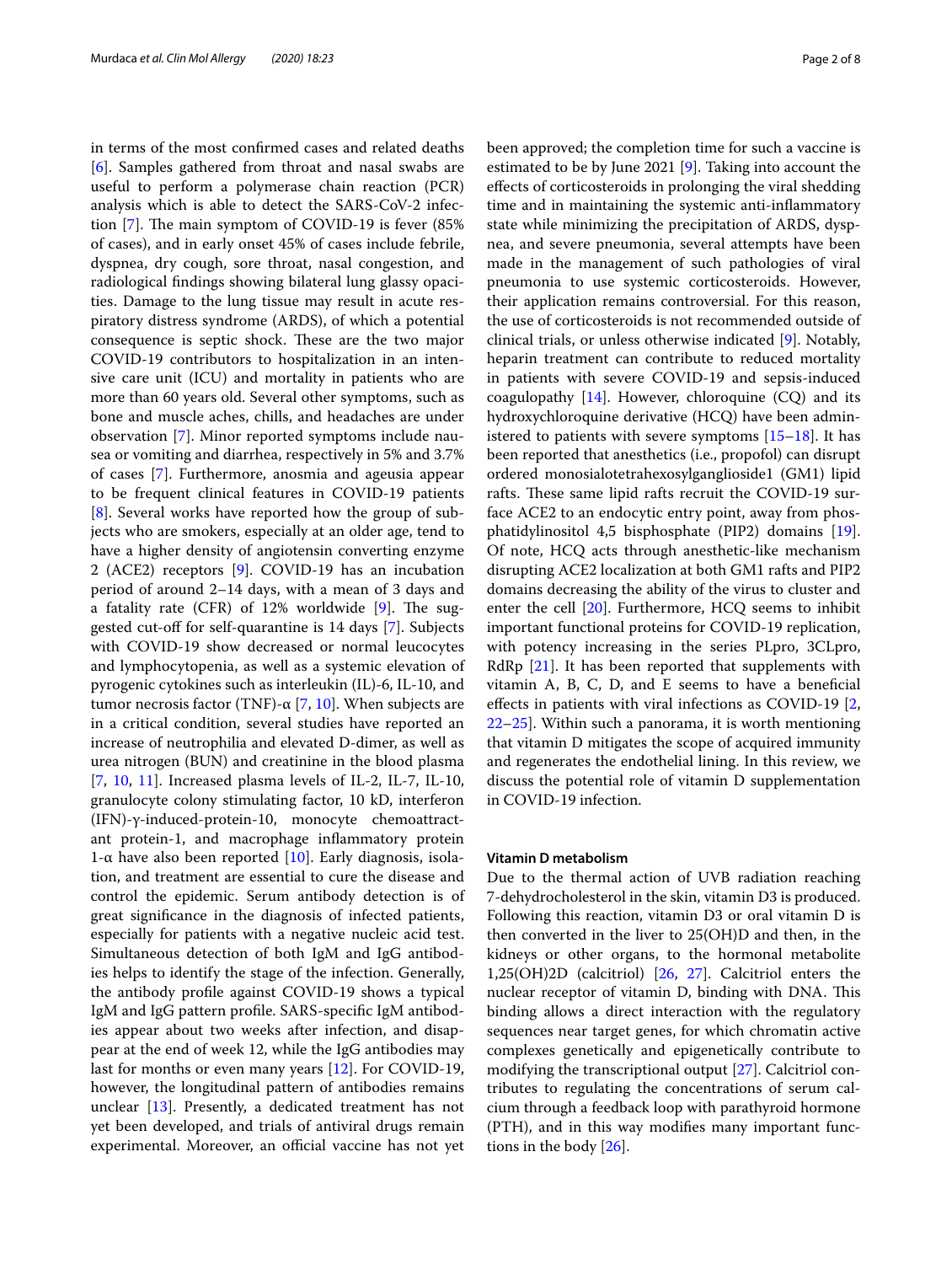in terms of the most confrmed cases and related deaths [[6\]](#page-5-5). Samples gathered from throat and nasal swabs are useful to perform a polymerase chain reaction (PCR) analysis which is able to detect the SARS-CoV-2 infection  $[7]$  $[7]$ . The main symptom of COVID-19 is fever  $(85\%$ of cases), and in early onset 45% of cases include febrile, dyspnea, dry cough, sore throat, nasal congestion, and radiological fndings showing bilateral lung glassy opacities. Damage to the lung tissue may result in acute respiratory distress syndrome (ARDS), of which a potential consequence is septic shock. These are the two major COVID-19 contributors to hospitalization in an intensive care unit (ICU) and mortality in patients who are more than 60 years old. Several other symptoms, such as bone and muscle aches, chills, and headaches are under observation [\[7](#page-5-6)]. Minor reported symptoms include nausea or vomiting and diarrhea, respectively in 5% and 3.7% of cases [[7](#page-5-6)]. Furthermore, anosmia and ageusia appear to be frequent clinical features in COVID-19 patients [[8\]](#page-5-7). Several works have reported how the group of subjects who are smokers, especially at an older age, tend to have a higher density of angiotensin converting enzyme 2 (ACE2) receptors [\[9\]](#page-5-8). COVID-19 has an incubation period of around 2–14 days, with a mean of 3 days and a fatality rate (CFR) of  $12%$  worldwide [[9\]](#page-5-8). The sug-gested cut-off for self-quarantine is 14 days [[7\]](#page-5-6). Subjects with COVID-19 show decreased or normal leucocytes and lymphocytopenia, as well as a systemic elevation of pyrogenic cytokines such as interleukin (IL)-6, IL-10, and tumor necrosis factor (TNF)- $\alpha$  [[7,](#page-5-6) [10](#page-5-9)]. When subjects are in a critical condition, several studies have reported an increase of neutrophilia and elevated D-dimer, as well as urea nitrogen (BUN) and creatinine in the blood plasma [[7,](#page-5-6) [10,](#page-5-9) [11](#page-5-10)]. Increased plasma levels of IL-2, IL-7, IL-10, granulocyte colony stimulating factor, 10 kD, interferon (IFN)-γ-induced-protein-10, monocyte chemoattractant protein-1, and macrophage infammatory protein 1-α have also been reported  $[10]$  $[10]$ . Early diagnosis, isolation, and treatment are essential to cure the disease and control the epidemic. Serum antibody detection is of great signifcance in the diagnosis of infected patients, especially for patients with a negative nucleic acid test. Simultaneous detection of both IgM and IgG antibodies helps to identify the stage of the infection. Generally, the antibody profle against COVID-19 shows a typical IgM and IgG pattern profle. SARS-specifc IgM antibodies appear about two weeks after infection, and disappear at the end of week 12, while the IgG antibodies may last for months or even many years [\[12](#page-6-0)]. For COVID-19, however, the longitudinal pattern of antibodies remains unclear [\[13\]](#page-6-1). Presently, a dedicated treatment has not yet been developed, and trials of antiviral drugs remain experimental. Moreover, an official vaccine has not yet been approved; the completion time for such a vaccine is estimated to be by June 2021 [[9](#page-5-8)]. Taking into account the efects of corticosteroids in prolonging the viral shedding time and in maintaining the systemic anti-infammatory state while minimizing the precipitation of ARDS, dyspnea, and severe pneumonia, several attempts have been made in the management of such pathologies of viral pneumonia to use systemic corticosteroids. However, their application remains controversial. For this reason, the use of corticosteroids is not recommended outside of clinical trials, or unless otherwise indicated [[9\]](#page-5-8). Notably, heparin treatment can contribute to reduced mortality in patients with severe COVID-19 and sepsis-induced coagulopathy  $[14]$  $[14]$ . However, chloroquine  $(CQ)$  and its hydroxychloroquine derivative (HCQ) have been administered to patients with severe symptoms [\[15](#page-6-3)[–18\]](#page-6-4). It has been reported that anesthetics (i.e., propofol) can disrupt ordered monosialotetrahexosylganglioside1 (GM1) lipid rafts. These same lipid rafts recruit the COVID-19 surface ACE2 to an endocytic entry point, away from phosphatidylinositol 4,5 bisphosphate (PIP2) domains [\[19](#page-6-5)]. Of note, HCQ acts through anesthetic-like mechanism disrupting ACE2 localization at both GM1 rafts and PIP2 domains decreasing the ability of the virus to cluster and enter the cell [\[20](#page-6-6)]. Furthermore, HCQ seems to inhibit important functional proteins for COVID-19 replication, with potency increasing in the series PLpro, 3CLpro, RdRp [\[21](#page-6-7)]. It has been reported that supplements with vitamin A, B, C, D, and E seems to have a benefcial efects in patients with viral infections as COVID-19 [\[2](#page-5-1), [22](#page-6-8)[–25](#page-6-9)]. Within such a panorama, it is worth mentioning that vitamin D mitigates the scope of acquired immunity and regenerates the endothelial lining. In this review, we discuss the potential role of vitamin D supplementation in COVID-19 infection.

#### **Vitamin D metabolism**

Due to the thermal action of UVB radiation reaching 7-dehydrocholesterol in the skin, vitamin D3 is produced. Following this reaction, vitamin D3 or oral vitamin D is then converted in the liver to 25(OH)D and then, in the kidneys or other organs, to the hormonal metabolite 1,25(OH)2D (calcitriol) [\[26](#page-6-10), [27\]](#page-6-11). Calcitriol enters the nuclear receptor of vitamin D, binding with DNA. This binding allows a direct interaction with the regulatory sequences near target genes, for which chromatin active complexes genetically and epigenetically contribute to modifying the transcriptional output [\[27](#page-6-11)]. Calcitriol contributes to regulating the concentrations of serum calcium through a feedback loop with parathyroid hormone (PTH), and in this way modifes many important functions in the body [[26\]](#page-6-10).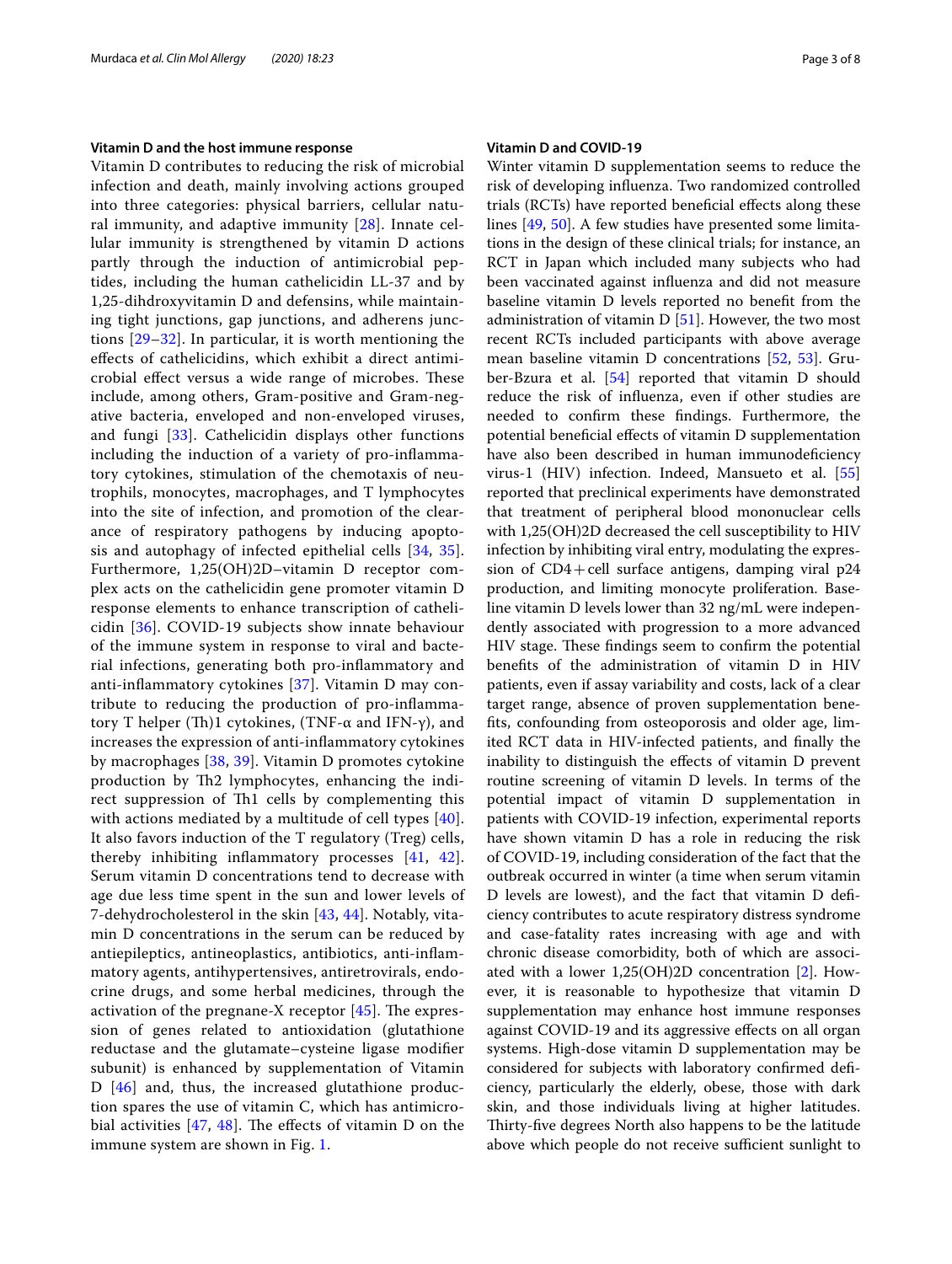#### **Vitamin D and the host immune response**

Vitamin D contributes to reducing the risk of microbial infection and death, mainly involving actions grouped into three categories: physical barriers, cellular natural immunity, and adaptive immunity [[28](#page-6-12)]. Innate cellular immunity is strengthened by vitamin D actions partly through the induction of antimicrobial peptides, including the human cathelicidin LL-37 and by 1,25-dihdroxyvitamin D and defensins, while maintaining tight junctions, gap junctions, and adherens junctions [\[29](#page-6-13)[–32](#page-6-14)]. In particular, it is worth mentioning the efects of cathelicidins, which exhibit a direct antimicrobial effect versus a wide range of microbes. These include, among others, Gram-positive and Gram-negative bacteria, enveloped and non-enveloped viruses, and fungi [[33\]](#page-6-15). Cathelicidin displays other functions including the induction of a variety of pro-infammatory cytokines, stimulation of the chemotaxis of neutrophils, monocytes, macrophages, and T lymphocytes into the site of infection, and promotion of the clearance of respiratory pathogens by inducing apoptosis and autophagy of infected epithelial cells [\[34](#page-6-16), [35\]](#page-6-17). Furthermore, 1,25(OH)2D–vitamin D receptor complex acts on the cathelicidin gene promoter vitamin D response elements to enhance transcription of cathelicidin [[36](#page-6-18)]. COVID-19 subjects show innate behaviour of the immune system in response to viral and bacterial infections, generating both pro-infammatory and anti-infammatory cytokines [[37](#page-6-19)]. Vitamin D may contribute to reducing the production of pro-infammatory T helper (Th)1 cytokines, (TNF-α and IFN-γ), and increases the expression of anti-infammatory cytokines by macrophages [[38](#page-6-20), [39](#page-6-21)]. Vitamin D promotes cytokine production by Th2 lymphocytes, enhancing the indirect suppression of Th1 cells by complementing this with actions mediated by a multitude of cell types [[40\]](#page-6-22). It also favors induction of the T regulatory (Treg) cells, thereby inhibiting infammatory processes [[41](#page-6-23), [42\]](#page-6-24). Serum vitamin D concentrations tend to decrease with age due less time spent in the sun and lower levels of 7-dehydrocholesterol in the skin [[43,](#page-6-25) [44\]](#page-6-26). Notably, vitamin D concentrations in the serum can be reduced by antiepileptics, antineoplastics, antibiotics, anti-infammatory agents, antihypertensives, antiretrovirals, endocrine drugs, and some herbal medicines, through the activation of the pregnane-X receptor  $[45]$  $[45]$ . The expression of genes related to antioxidation (glutathione reductase and the glutamate–cysteine ligase modifer subunit) is enhanced by supplementation of Vitamin D [\[46\]](#page-6-28) and, thus, the increased glutathione production spares the use of vitamin C, which has antimicrobial activities  $[47, 48]$  $[47, 48]$  $[47, 48]$  $[47, 48]$ . The effects of vitamin D on the immune system are shown in Fig. [1.](#page-3-0)

#### **Vitamin D and COVID‑19**

Winter vitamin D supplementation seems to reduce the risk of developing infuenza. Two randomized controlled trials (RCTs) have reported benefcial efects along these lines [[49,](#page-6-31) [50\]](#page-6-32). A few studies have presented some limitations in the design of these clinical trials; for instance, an RCT in Japan which included many subjects who had been vaccinated against infuenza and did not measure baseline vitamin D levels reported no beneft from the administration of vitamin D [\[51](#page-6-33)]. However, the two most recent RCTs included participants with above average mean baseline vitamin D concentrations [\[52,](#page-6-34) [53](#page-6-35)]. Gruber-Bzura et al. [\[54](#page-6-36)] reported that vitamin D should reduce the risk of infuenza, even if other studies are needed to confrm these fndings. Furthermore, the potential beneficial effects of vitamin D supplementation have also been described in human immunodeficiency virus-1 (HIV) infection. Indeed, Mansueto et al. [[55](#page-6-37)] reported that preclinical experiments have demonstrated that treatment of peripheral blood mononuclear cells with 1,25(OH)2D decreased the cell susceptibility to HIV infection by inhibiting viral entry, modulating the expression of  $CD4+cell$  surface antigens, damping viral p24 production, and limiting monocyte proliferation. Baseline vitamin D levels lower than 32 ng/mL were independently associated with progression to a more advanced HIV stage. These findings seem to confirm the potential benefts of the administration of vitamin D in HIV patients, even if assay variability and costs, lack of a clear target range, absence of proven supplementation benefts, confounding from osteoporosis and older age, limited RCT data in HIV-infected patients, and fnally the inability to distinguish the efects of vitamin D prevent routine screening of vitamin D levels. In terms of the potential impact of vitamin D supplementation in patients with COVID-19 infection, experimental reports have shown vitamin D has a role in reducing the risk of COVID-19, including consideration of the fact that the outbreak occurred in winter (a time when serum vitamin D levels are lowest), and the fact that vitamin D defciency contributes to acute respiratory distress syndrome and case-fatality rates increasing with age and with chronic disease comorbidity, both of which are associated with a lower 1,25(OH)2D concentration [\[2](#page-5-1)]. However, it is reasonable to hypothesize that vitamin D supplementation may enhance host immune responses against COVID-19 and its aggressive efects on all organ systems. High-dose vitamin D supplementation may be considered for subjects with laboratory confrmed defciency, particularly the elderly, obese, those with dark skin, and those individuals living at higher latitudes. Thirty-five degrees North also happens to be the latitude above which people do not receive sufficient sunlight to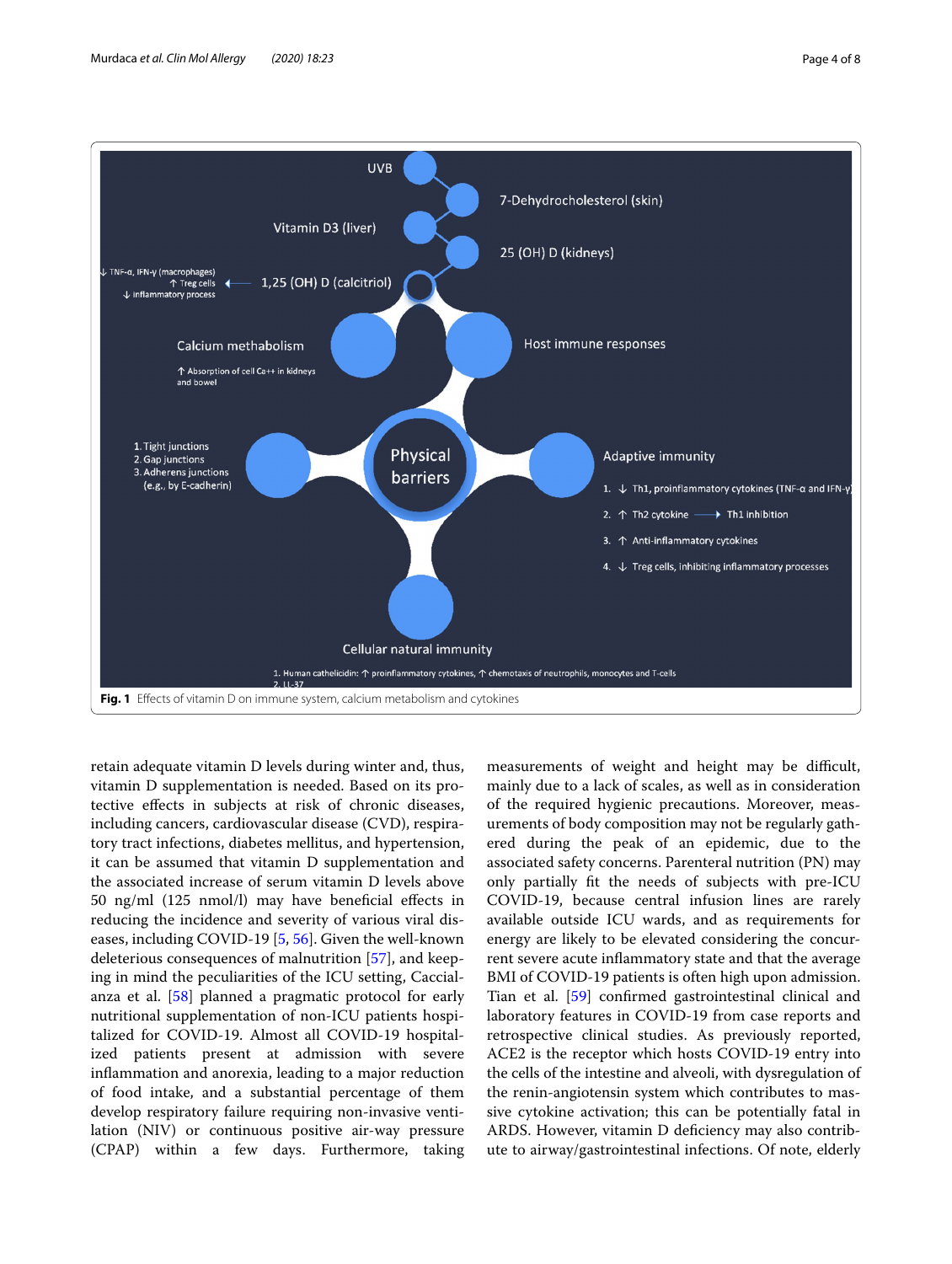

<span id="page-3-0"></span>retain adequate vitamin D levels during winter and, thus, vitamin D supplementation is needed. Based on its protective efects in subjects at risk of chronic diseases, including cancers, cardiovascular disease (CVD), respiratory tract infections, diabetes mellitus, and hypertension, it can be assumed that vitamin D supplementation and the associated increase of serum vitamin D levels above 50 ng/ml (125 nmol/l) may have benefcial efects in reducing the incidence and severity of various viral diseases, including COVID-19 [[5,](#page-5-4) [56](#page-6-38)]. Given the well-known deleterious consequences of malnutrition [\[57\]](#page-6-39), and keeping in mind the peculiarities of the ICU setting, Caccialanza et al. [\[58\]](#page-6-40) planned a pragmatic protocol for early nutritional supplementation of non-ICU patients hospitalized for COVID-19. Almost all COVID-19 hospitalized patients present at admission with severe infammation and anorexia, leading to a major reduction of food intake, and a substantial percentage of them develop respiratory failure requiring non-invasive ventilation (NIV) or continuous positive air-way pressure (CPAP) within a few days. Furthermore, taking

measurements of weight and height may be difficult, mainly due to a lack of scales, as well as in consideration of the required hygienic precautions. Moreover, measurements of body composition may not be regularly gathered during the peak of an epidemic, due to the associated safety concerns. Parenteral nutrition (PN) may only partially ft the needs of subjects with pre-ICU COVID-19, because central infusion lines are rarely available outside ICU wards, and as requirements for energy are likely to be elevated considering the concurrent severe acute infammatory state and that the average BMI of COVID-19 patients is often high upon admission. Tian et al. [\[59](#page-7-0)] confrmed gastrointestinal clinical and laboratory features in COVID-19 from case reports and retrospective clinical studies. As previously reported, ACE2 is the receptor which hosts COVID-19 entry into the cells of the intestine and alveoli, with dysregulation of the renin-angiotensin system which contributes to massive cytokine activation; this can be potentially fatal in ARDS. However, vitamin D deficiency may also contribute to airway/gastrointestinal infections. Of note, elderly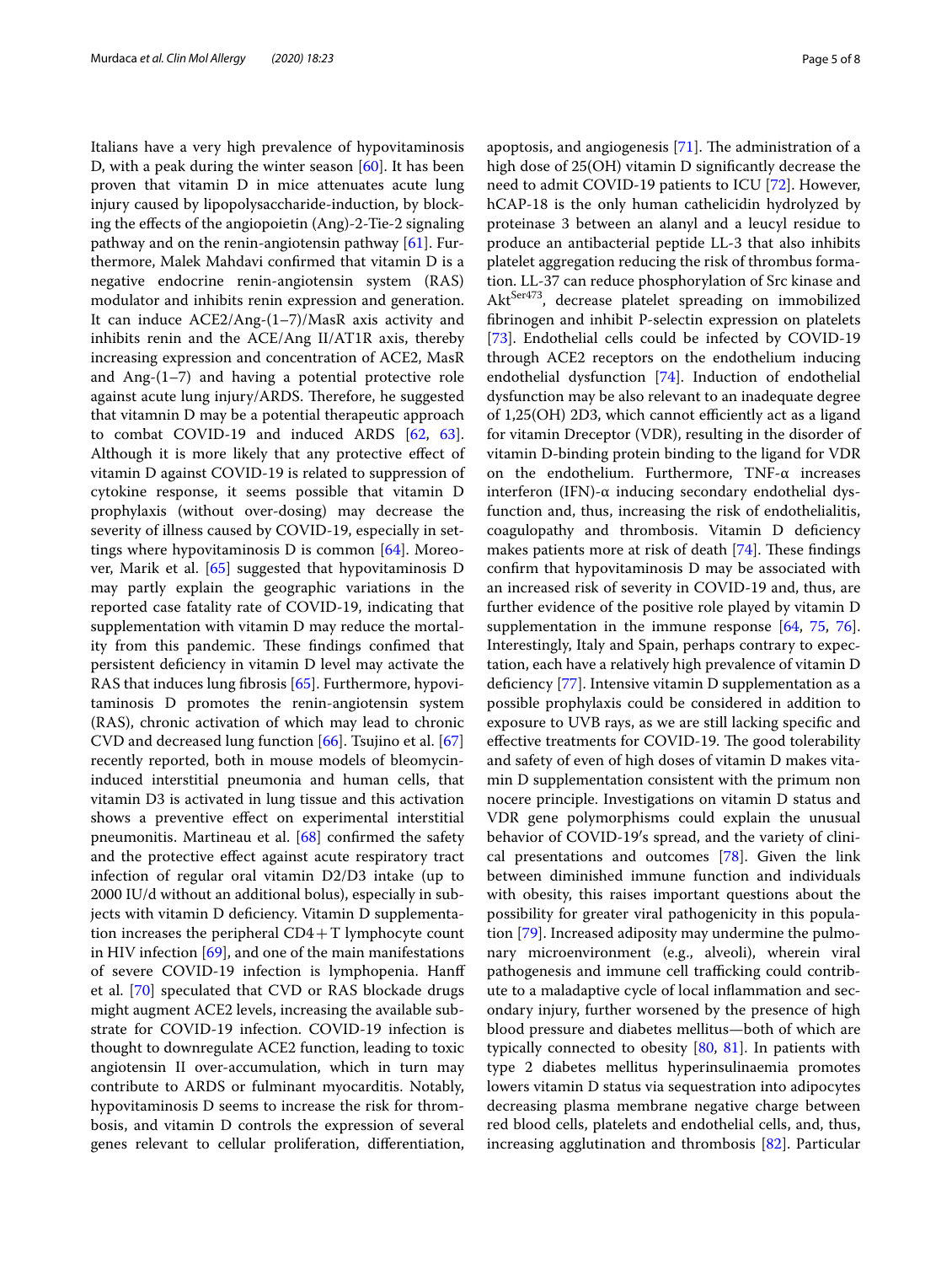Italians have a very high prevalence of hypovitaminosis D, with a peak during the winter season [\[60](#page-7-1)]. It has been proven that vitamin D in mice attenuates acute lung injury caused by lipopolysaccharide-induction, by blocking the efects of the angiopoietin (Ang)-2-Tie-2 signaling pathway and on the renin-angiotensin pathway [\[61](#page-7-2)]. Furthermore, Malek Mahdavi confrmed that vitamin D is a negative endocrine renin-angiotensin system (RAS) modulator and inhibits renin expression and generation. It can induce ACE2/Ang-(1–7)/MasR axis activity and inhibits renin and the ACE/Ang II/AT1R axis, thereby increasing expression and concentration of ACE2, MasR and Ang- $(1-7)$  and having a potential protective role against acute lung injury/ARDS. Therefore, he suggested that vitamnin D may be a potential therapeutic approach to combat COVID-19 and induced ARDS [[62,](#page-7-3) [63](#page-7-4)]. Although it is more likely that any protective efect of vitamin D against COVID-19 is related to suppression of cytokine response, it seems possible that vitamin D prophylaxis (without over-dosing) may decrease the severity of illness caused by COVID-19, especially in settings where hypovitaminosis D is common  $[64]$  $[64]$ . Moreover, Marik et al. [\[65](#page-7-6)] suggested that hypovitaminosis D may partly explain the geographic variations in the reported case fatality rate of COVID-19, indicating that supplementation with vitamin D may reduce the mortality from this pandemic. These findings confimed that persistent defciency in vitamin D level may activate the RAS that induces lung fbrosis [[65\]](#page-7-6). Furthermore, hypovitaminosis D promotes the renin-angiotensin system (RAS), chronic activation of which may lead to chronic CVD and decreased lung function [[66\]](#page-7-7). Tsujino et al. [[67](#page-7-8)] recently reported, both in mouse models of bleomycininduced interstitial pneumonia and human cells, that vitamin D3 is activated in lung tissue and this activation shows a preventive efect on experimental interstitial pneumonitis. Martineau et al. [\[68](#page-7-9)] confrmed the safety and the protective efect against acute respiratory tract infection of regular oral vitamin D2/D3 intake (up to 2000 IU/d without an additional bolus), especially in subjects with vitamin D deficiency. Vitamin D supplementation increases the peripheral  $CD4+T$  lymphocyte count in HIV infection [\[69](#page-7-10)], and one of the main manifestations of severe COVID-19 infection is lymphopenia. Hanf et al. [\[70\]](#page-7-11) speculated that CVD or RAS blockade drugs might augment ACE2 levels, increasing the available substrate for COVID-19 infection. COVID-19 infection is thought to downregulate ACE2 function, leading to toxic angiotensin II over-accumulation, which in turn may contribute to ARDS or fulminant myocarditis. Notably, hypovitaminosis D seems to increase the risk for thrombosis, and vitamin D controls the expression of several genes relevant to cellular proliferation, diferentiation,

apoptosis, and angiogenesis  $[71]$  $[71]$ . The administration of a high dose of 25(OH) vitamin D signifcantly decrease the need to admit COVID-19 patients to ICU [\[72](#page-7-13)]. However, hCAP-18 is the only human cathelicidin hydrolyzed by proteinase 3 between an alanyl and a leucyl residue to produce an antibacterial peptide LL-3 that also inhibits platelet aggregation reducing the risk of thrombus formation. LL-37 can reduce phosphorylation of Src kinase and Akt<sup>Ser473</sup>, decrease platelet spreading on immobilized fbrinogen and inhibit P-selectin expression on platelets [[73\]](#page-7-14). Endothelial cells could be infected by COVID-19 through ACE2 receptors on the endothelium inducing endothelial dysfunction [[74\]](#page-7-15). Induction of endothelial dysfunction may be also relevant to an inadequate degree of  $1,25(OH)$  2D3, which cannot efficiently act as a ligand for vitamin Dreceptor (VDR), resulting in the disorder of vitamin D-binding protein binding to the ligand for VDR on the endothelium. Furthermore, TNF-α increases interferon (IFN)- $\alpha$  inducing secondary endothelial dysfunction and, thus, increasing the risk of endothelialitis, coagulopathy and thrombosis. Vitamin D defciency makes patients more at risk of death  $[74]$ . These findings confrm that hypovitaminosis D may be associated with an increased risk of severity in COVID-19 and, thus, are further evidence of the positive role played by vitamin D supplementation in the immune response [\[64](#page-7-5), [75,](#page-7-16) [76](#page-7-17)]. Interestingly, Italy and Spain, perhaps contrary to expectation, each have a relatively high prevalence of vitamin D defciency [[77](#page-7-18)]. Intensive vitamin D supplementation as a possible prophylaxis could be considered in addition to exposure to UVB rays, as we are still lacking specifc and effective treatments for COVID-19. The good tolerability and safety of even of high doses of vitamin D makes vitamin D supplementation consistent with the primum non nocere principle. Investigations on vitamin D status and VDR gene polymorphisms could explain the unusual behavior of COVID-19′s spread, and the variety of clinical presentations and outcomes [[78\]](#page-7-19). Given the link between diminished immune function and individuals with obesity, this raises important questions about the possibility for greater viral pathogenicity in this population [[79\]](#page-7-20). Increased adiposity may undermine the pulmonary microenvironment (e.g., alveoli), wherein viral pathogenesis and immune cell trafficking could contribute to a maladaptive cycle of local infammation and secondary injury, further worsened by the presence of high blood pressure and diabetes mellitus—both of which are typically connected to obesity  $[80, 81]$  $[80, 81]$  $[80, 81]$  $[80, 81]$ . In patients with type 2 diabetes mellitus hyperinsulinaemia promotes lowers vitamin D status via sequestration into adipocytes decreasing plasma membrane negative charge between red blood cells, platelets and endothelial cells, and, thus, increasing agglutination and thrombosis [\[82](#page-7-23)]. Particular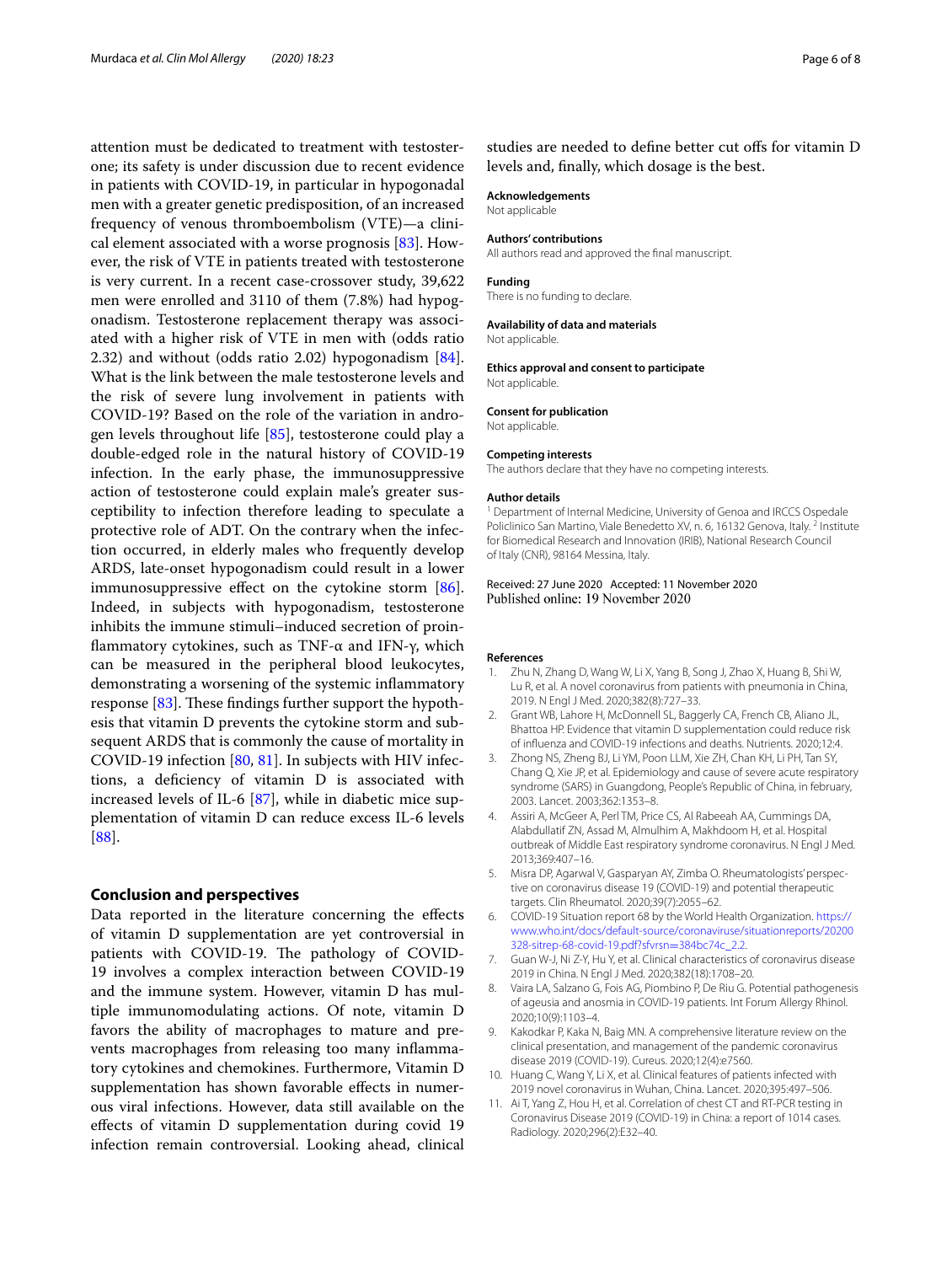attention must be dedicated to treatment with testosterone; its safety is under discussion due to recent evidence in patients with COVID-19, in particular in hypogonadal men with a greater genetic predisposition, of an increased frequency of venous thromboembolism (VTE)—a clinical element associated with a worse prognosis [[83](#page-7-24)]. However, the risk of VTE in patients treated with testosterone is very current. In a recent case-crossover study, 39,622 men were enrolled and 3110 of them (7.8%) had hypogonadism. Testosterone replacement therapy was associated with a higher risk of VTE in men with (odds ratio 2.32) and without (odds ratio 2.02) hypogonadism [\[84](#page-7-25)]. What is the link between the male testosterone levels and the risk of severe lung involvement in patients with COVID-19? Based on the role of the variation in androgen levels throughout life [[85\]](#page-7-26), testosterone could play a double-edged role in the natural history of COVID-19 infection. In the early phase, the immunosuppressive action of testosterone could explain male's greater susceptibility to infection therefore leading to speculate a protective role of ADT. On the contrary when the infection occurred, in elderly males who frequently develop ARDS, late-onset hypogonadism could result in a lower immunosuppressive effect on the cytokine storm  $[86]$  $[86]$ . Indeed, in subjects with hypogonadism, testosterone inhibits the immune stimuli–induced secretion of proinfammatory cytokines, such as TNF-α and IFN-γ, which can be measured in the peripheral blood leukocytes, demonstrating a worsening of the systemic infammatory response  $[83]$  $[83]$ . These findings further support the hypothesis that vitamin D prevents the cytokine storm and subsequent ARDS that is commonly the cause of mortality in COVID-19 infection [[80,](#page-7-21) [81](#page-7-22)]. In subjects with HIV infections, a defciency of vitamin D is associated with increased levels of IL-6 [\[87](#page-7-28)], while in diabetic mice supplementation of vitamin D can reduce excess IL-6 levels [[88\]](#page-7-29).

## **Conclusion and perspectives**

Data reported in the literature concerning the efects of vitamin D supplementation are yet controversial in patients with COVID-19. The pathology of COVID-19 involves a complex interaction between COVID-19 and the immune system. However, vitamin D has multiple immunomodulating actions. Of note, vitamin D favors the ability of macrophages to mature and prevents macrophages from releasing too many infammatory cytokines and chemokines. Furthermore, Vitamin D supplementation has shown favorable effects in numerous viral infections. However, data still available on the efects of vitamin D supplementation during covid 19 infection remain controversial. Looking ahead, clinical

studies are needed to define better cut offs for vitamin D levels and, fnally, which dosage is the best.

#### **Acknowledgements**

Not applicable

#### **Authors' contributions**

All authors read and approved the fnal manuscript.

#### **Funding**

There is no funding to declare.

#### **Availability of data and materials**

Not applicable.

**Ethics approval and consent to participate** Not applicable.

#### **Consent for publication**

Not applicable.

#### **Competing interests**

The authors declare that they have no competing interests.

#### **Author details**

<sup>1</sup> Department of Internal Medicine, University of Genoa and IRCCS Ospedale Policlinico San Martino, Viale Benedetto XV, n. 6, 16132 Genova, Italy.<sup>2</sup> Institute for Biomedical Research and Innovation (IRIB), National Research Council of Italy (CNR), 98164 Messina, Italy.

Received: 27 June 2020 Accepted: 11 November 2020

#### **References**

- <span id="page-5-0"></span>Zhu N, Zhang D, Wang W, Li X, Yang B, Song J, Zhao X, Huang B, Shi W, Lu R, et al. A novel coronavirus from patients with pneumonia in China, 2019. N Engl J Med. 2020;382(8):727–33.
- <span id="page-5-1"></span>2. Grant WB, Lahore H, McDonnell SL, Baggerly CA, French CB, Aliano JL, Bhattoa HP. Evidence that vitamin D supplementation could reduce risk of infuenza and COVID-19 infections and deaths. Nutrients. 2020;12:4.
- <span id="page-5-2"></span>3. Zhong NS, Zheng BJ, Li YM, Poon LLM, Xie ZH, Chan KH, Li PH, Tan SY, Chang Q, Xie JP, et al. Epidemiology and cause of severe acute respiratory syndrome (SARS) in Guangdong, People's Republic of China, in february, 2003. Lancet. 2003;362:1353–8.
- <span id="page-5-3"></span>4. Assiri A, McGeer A, Perl TM, Price CS, Al Rabeeah AA, Cummings DA, Alabdullatif ZN, Assad M, Almulhim A, Makhdoom H, et al. Hospital outbreak of Middle East respiratory syndrome coronavirus. N Engl J Med. 2013;369:407–16.
- <span id="page-5-4"></span>5. Misra DP, Agarwal V, Gasparyan AY, Zimba O. Rheumatologists' perspective on coronavirus disease 19 (COVID-19) and potential therapeutic targets. Clin Rheumatol. 2020;39(7):2055–62.
- <span id="page-5-5"></span>6. COVID-19 Situation report 68 by the World Health Organization. [https://](https://www.who.int/docs/default-source/coronaviruse/situationreports/20200328-sitrep-68-covid-19.pdf?sfvrsn=384bc74c_2.2) [www.who.int/docs/default-source/coronaviruse/situationreports/20200](https://www.who.int/docs/default-source/coronaviruse/situationreports/20200328-sitrep-68-covid-19.pdf?sfvrsn=384bc74c_2.2) [328-sitrep-68-covid-19.pdf?sfvrsn](https://www.who.int/docs/default-source/coronaviruse/situationreports/20200328-sitrep-68-covid-19.pdf?sfvrsn=384bc74c_2.2)=384bc74c\_2.2.
- <span id="page-5-6"></span>7. Guan W-J, Ni Z-Y, Hu Y, et al. Clinical characteristics of coronavirus disease 2019 in China. N Engl J Med. 2020;382(18):1708–20.
- <span id="page-5-7"></span>8. Vaira LA, Salzano G, Fois AG, Piombino P, De Riu G. Potential pathogenesis of ageusia and anosmia in COVID-19 patients. Int Forum Allergy Rhinol. 2020;10(9):1103–4.
- <span id="page-5-8"></span>9. Kakodkar P, Kaka N, Baig MN. A comprehensive literature review on the clinical presentation, and management of the pandemic coronavirus disease 2019 (COVID-19). Cureus. 2020;12(4):e7560.
- <span id="page-5-9"></span>10. Huang C, Wang Y, Li X, et al. Clinical features of patients infected with 2019 novel coronavirus in Wuhan, China. Lancet. 2020;395:497–506.
- <span id="page-5-10"></span>11. Ai T, Yang Z, Hou H, et al. Correlation of chest CT and RT-PCR testing in Coronavirus Disease 2019 (COVID-19) in China: a report of 1014 cases. Radiology. 2020;296(2):E32–40.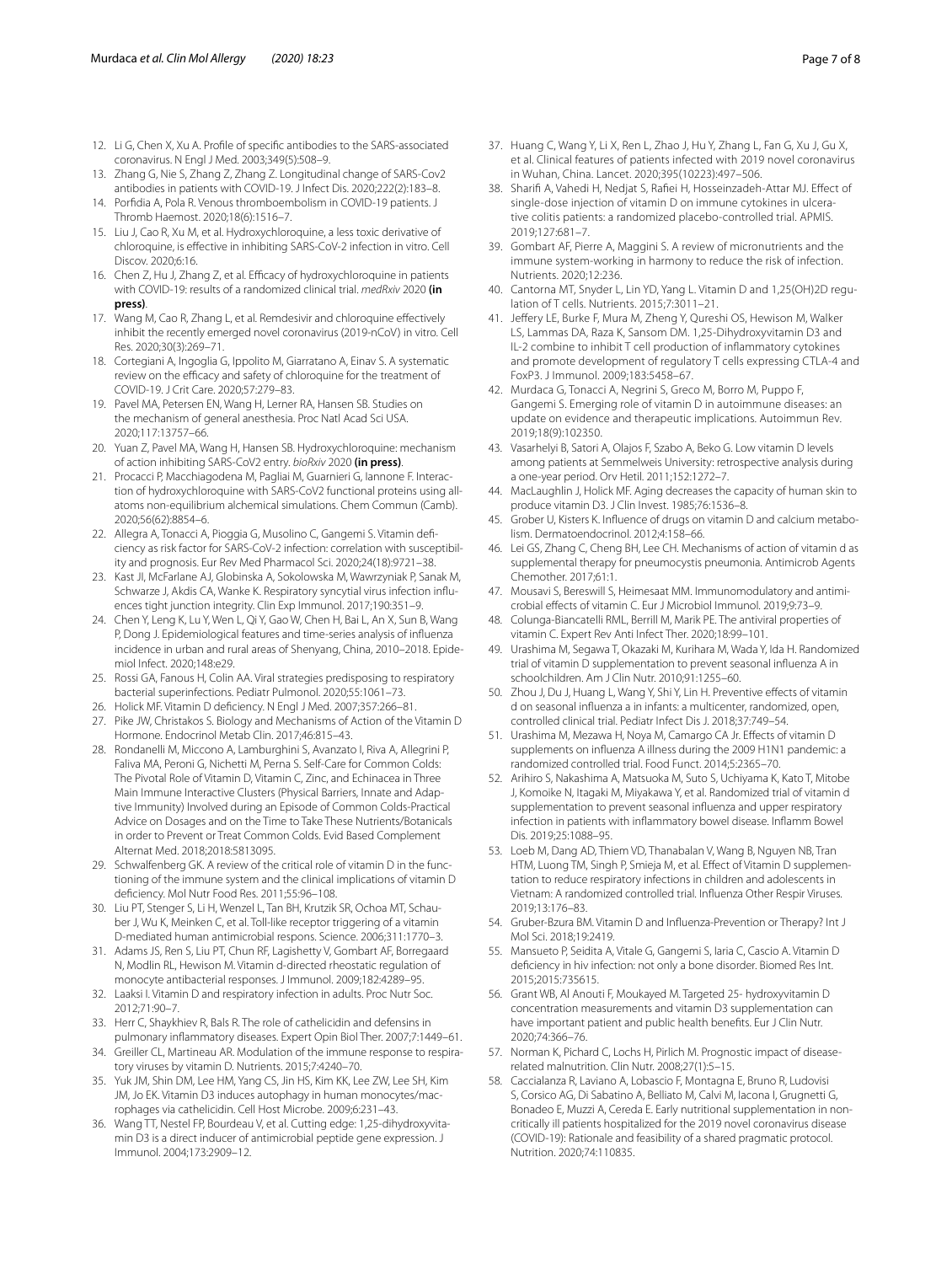- <span id="page-6-0"></span>12. Li G, Chen X, Xu A. Profle of specifc antibodies to the SARS-associated coronavirus. N Engl J Med. 2003;349(5):508–9.
- <span id="page-6-1"></span>13. Zhang G, Nie S, Zhang Z, Zhang Z. Longitudinal change of SARS-Cov2 antibodies in patients with COVID-19. J Infect Dis. 2020;222(2):183–8.
- <span id="page-6-2"></span>14. Porfdia A, Pola R. Venous thromboembolism in COVID-19 patients. J Thromb Haemost. 2020;18(6):1516–7.
- <span id="page-6-3"></span>15. Liu J, Cao R, Xu M, et al. Hydroxychloroquine, a less toxic derivative of chloroquine, is efective in inhibiting SARS-CoV-2 infection in vitro. Cell Discov. 2020;6:16.
- 16. Chen Z, Hu J, Zhang Z, et al. Efficacy of hydroxychloroquine in patients with COVID-19: results of a randomized clinical trial. *medRxiv* 2020 **(in press)**.
- 17. Wang M, Cao R, Zhang L, et al. Remdesivir and chloroquine efectively inhibit the recently emerged novel coronavirus (2019-nCoV) in vitro. Cell Res. 2020;30(3):269–71.
- <span id="page-6-4"></span>18. Cortegiani A, Ingoglia G, Ippolito M, Giarratano A, Einav S. A systematic review on the efficacy and safety of chloroquine for the treatment of COVID-19. J Crit Care. 2020;57:279–83.
- <span id="page-6-5"></span>19. Pavel MA, Petersen EN, Wang H, Lerner RA, Hansen SB. Studies on the mechanism of general anesthesia. Proc Natl Acad Sci USA. 2020;117:13757–66.
- <span id="page-6-6"></span>20. Yuan Z, Pavel MA, Wang H, Hansen SB. Hydroxychloroquine: mechanism of action inhibiting SARS-CoV2 entry. *bioRxiv* 2020 **(in press)**.
- <span id="page-6-7"></span>21. Procacci P, Macchiagodena M, Pagliai M, Guarnieri G, Iannone F. Interaction of hydroxychloroquine with SARS-CoV2 functional proteins using allatoms non-equilibrium alchemical simulations. Chem Commun (Camb). 2020;56(62):8854–6.
- <span id="page-6-8"></span>22. Allegra A, Tonacci A, Pioggia G, Musolino C, Gangemi S. Vitamin defciency as risk factor for SARS-CoV-2 infection: correlation with susceptibility and prognosis. Eur Rev Med Pharmacol Sci. 2020;24(18):9721–38.
- 23. Kast JI, McFarlane AJ, Globinska A, Sokolowska M, Wawrzyniak P, Sanak M, Schwarze J, Akdis CA, Wanke K. Respiratory syncytial virus infection infuences tight junction integrity. Clin Exp Immunol. 2017;190:351–9.
- 24. Chen Y, Leng K, Lu Y, Wen L, Qi Y, Gao W, Chen H, Bai L, An X, Sun B, Wang P, Dong J. Epidemiological features and time-series analysis of infuenza incidence in urban and rural areas of Shenyang, China, 2010–2018. Epidemiol Infect. 2020;148:e29.
- <span id="page-6-9"></span>25. Rossi GA, Fanous H, Colin AA. Viral strategies predisposing to respiratory bacterial superinfections. Pediatr Pulmonol. 2020;55:1061–73.
- <span id="page-6-10"></span>26. Holick MF. Vitamin D defciency. N Engl J Med. 2007;357:266–81.
- <span id="page-6-11"></span>27. Pike JW, Christakos S. Biology and Mechanisms of Action of the Vitamin D Hormone. Endocrinol Metab Clin. 2017;46:815–43.
- <span id="page-6-12"></span>28. Rondanelli M, Miccono A, Lamburghini S, Avanzato I, Riva A, Allegrini P, Faliva MA, Peroni G, Nichetti M, Perna S. Self-Care for Common Colds: The Pivotal Role of Vitamin D, Vitamin C, Zinc, and Echinacea in Three Main Immune Interactive Clusters (Physical Barriers, Innate and Adaptive Immunity) Involved during an Episode of Common Colds-Practical Advice on Dosages and on the Time to Take These Nutrients/Botanicals in order to Prevent or Treat Common Colds. Evid Based Complement Alternat Med. 2018;2018:5813095.
- <span id="page-6-13"></span>29. Schwalfenberg GK. A review of the critical role of vitamin D in the functioning of the immune system and the clinical implications of vitamin D defciency. Mol Nutr Food Res. 2011;55:96–108.
- 30. Liu PT, Stenger S, Li H, Wenzel L, Tan BH, Krutzik SR, Ochoa MT, Schauber J, Wu K, Meinken C, et al. Toll-like receptor triggering of a vitamin D-mediated human antimicrobial respons. Science. 2006;311:1770–3.
- 31. Adams JS, Ren S, Liu PT, Chun RF, Lagishetty V, Gombart AF, Borregaard N, Modlin RL, Hewison M. Vitamin d-directed rheostatic regulation of monocyte antibacterial responses. J Immunol. 2009;182:4289–95.
- <span id="page-6-14"></span>32. Laaksi I. Vitamin D and respiratory infection in adults. Proc Nutr Soc. 2012;71:90–7.
- <span id="page-6-15"></span>33. Herr C, Shaykhiev R, Bals R. The role of cathelicidin and defensins in pulmonary infammatory diseases. Expert Opin Biol Ther. 2007;7:1449–61.
- <span id="page-6-16"></span>34. Greiller CL, Martineau AR. Modulation of the immune response to respiratory viruses by vitamin D. Nutrients. 2015;7:4240–70.
- <span id="page-6-17"></span>35. Yuk JM, Shin DM, Lee HM, Yang CS, Jin HS, Kim KK, Lee ZW, Lee SH, Kim JM, Jo EK. Vitamin D3 induces autophagy in human monocytes/macrophages via cathelicidin. Cell Host Microbe. 2009;6:231–43.
- <span id="page-6-18"></span>36. Wang TT, Nestel FP, Bourdeau V, et al. Cutting edge: 1,25-dihydroxyvitamin D3 is a direct inducer of antimicrobial peptide gene expression. J Immunol. 2004;173:2909–12.
- <span id="page-6-19"></span>37. Huang C, Wang Y, Li X, Ren L, Zhao J, Hu Y, Zhang L, Fan G, Xu J, Gu X, et al. Clinical features of patients infected with 2019 novel coronavirus in Wuhan, China. Lancet. 2020;395(10223):497–506.
- <span id="page-6-20"></span>38. Sharif A, Vahedi H, Nedjat S, Rafei H, Hosseinzadeh-Attar MJ. Efect of single-dose injection of vitamin D on immune cytokines in ulcerative colitis patients: a randomized placebo-controlled trial. APMIS. 2019;127:681–7.
- <span id="page-6-21"></span>39. Gombart AF, Pierre A, Maggini S. A review of micronutrients and the immune system-working in harmony to reduce the risk of infection. Nutrients. 2020;12:236.
- <span id="page-6-22"></span>40. Cantorna MT, Snyder L, Lin YD, Yang L. Vitamin D and 1,25(OH)2D regulation of T cells. Nutrients. 2015;7:3011–21.
- <span id="page-6-23"></span>41. Jeffery LE, Burke F, Mura M, Zheng Y, Qureshi OS, Hewison M, Walker LS, Lammas DA, Raza K, Sansom DM. 1,25-Dihydroxyvitamin D3 and IL-2 combine to inhibit T cell production of infammatory cytokines and promote development of regulatory T cells expressing CTLA-4 and FoxP3. J Immunol. 2009;183:5458–67.
- <span id="page-6-24"></span>42. Murdaca G, Tonacci A, Negrini S, Greco M, Borro M, Puppo F, Gangemi S. Emerging role of vitamin D in autoimmune diseases: an update on evidence and therapeutic implications. Autoimmun Rev. 2019;18(9):102350.
- <span id="page-6-25"></span>43. Vasarhelyi B, Satori A, Olajos F, Szabo A, Beko G. Low vitamin D levels among patients at Semmelweis University: retrospective analysis during a one-year period. Orv Hetil. 2011;152:1272–7.
- <span id="page-6-26"></span>44. MacLaughlin J, Holick MF. Aging decreases the capacity of human skin to produce vitamin D3. J Clin Invest. 1985;76:1536–8.
- <span id="page-6-27"></span>45. Grober U, Kisters K. Infuence of drugs on vitamin D and calcium metabolism. Dermatoendocrinol. 2012;4:158–66.
- <span id="page-6-28"></span>46. Lei GS, Zhang C, Cheng BH, Lee CH. Mechanisms of action of vitamin d as supplemental therapy for pneumocystis pneumonia. Antimicrob Agents Chemother. 2017;61:1.
- <span id="page-6-29"></span>47. Mousavi S, Bereswill S, Heimesaat MM. Immunomodulatory and antimicrobial efects of vitamin C. Eur J Microbiol Immunol. 2019;9:73–9.
- <span id="page-6-30"></span>48. Colunga-Biancatelli RML, Berrill M, Marik PE. The antiviral properties of vitamin C. Expert Rev Anti Infect Ther. 2020;18:99–101.
- <span id="page-6-31"></span>49. Urashima M, Segawa T, Okazaki M, Kurihara M, Wada Y, Ida H. Randomized trial of vitamin D supplementation to prevent seasonal infuenza A in schoolchildren. Am J Clin Nutr. 2010;91:1255–60.
- <span id="page-6-32"></span>50. Zhou J, Du J, Huang L, Wang Y, Shi Y, Lin H. Preventive efects of vitamin d on seasonal infuenza a in infants: a multicenter, randomized, open, controlled clinical trial. Pediatr Infect Dis J. 2018;37:749–54.
- <span id="page-6-33"></span>51. Urashima M, Mezawa H, Noya M, Camargo CA Jr. Efects of vitamin D supplements on infuenza A illness during the 2009 H1N1 pandemic: a randomized controlled trial. Food Funct. 2014;5:2365–70.
- <span id="page-6-34"></span>52. Arihiro S, Nakashima A, Matsuoka M, Suto S, Uchiyama K, Kato T, Mitobe J, Komoike N, Itagaki M, Miyakawa Y, et al. Randomized trial of vitamin d supplementation to prevent seasonal infuenza and upper respiratory infection in patients with infammatory bowel disease. Infamm Bowel Dis. 2019;25:1088–95.
- <span id="page-6-35"></span>53. Loeb M, Dang AD, Thiem VD, Thanabalan V, Wang B, Nguyen NB, Tran HTM, Luong TM, Singh P, Smieja M, et al. Effect of Vitamin D supplementation to reduce respiratory infections in children and adolescents in Vietnam: A randomized controlled trial. Infuenza Other Respir Viruses. 2019;13:176–83.
- <span id="page-6-36"></span>54. Gruber-Bzura BM. Vitamin D and Infuenza-Prevention or Therapy? Int J Mol Sci. 2018;19:2419.
- <span id="page-6-37"></span>55. Mansueto P, Seidita A, Vitale G, Gangemi S, Iaria C, Cascio A. Vitamin D defciency in hiv infection: not only a bone disorder. Biomed Res Int. 2015;2015:735615.
- <span id="page-6-38"></span>56. Grant WB, Al Anouti F, Moukayed M. Targeted 25- hydroxyvitamin D concentration measurements and vitamin D3 supplementation can have important patient and public health benefts. Eur J Clin Nutr. 2020;74:366–76.
- <span id="page-6-39"></span>57. Norman K, Pichard C, Lochs H, Pirlich M. Prognostic impact of diseaserelated malnutrition. Clin Nutr. 2008;27(1):5–15.
- <span id="page-6-40"></span>58. Caccialanza R, Laviano A, Lobascio F, Montagna E, Bruno R, Ludovisi S, Corsico AG, Di Sabatino A, Belliato M, Calvi M, Iacona I, Grugnetti G, Bonadeo E, Muzzi A, Cereda E. Early nutritional supplementation in noncritically ill patients hospitalized for the 2019 novel coronavirus disease (COVID-19): Rationale and feasibility of a shared pragmatic protocol. Nutrition. 2020;74:110835.